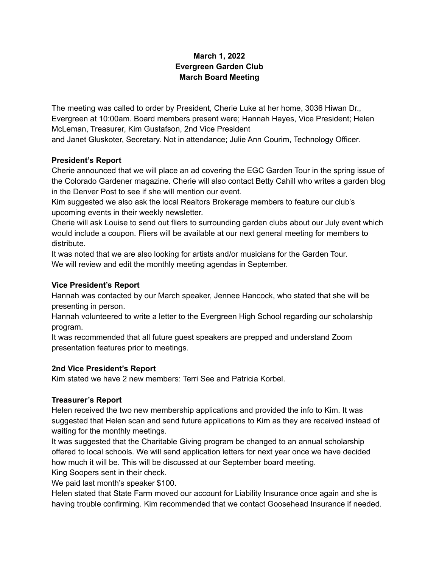## **March 1, 2022 Evergreen Garden Club March Board Meeting**

The meeting was called to order by President, Cherie Luke at her home, 3036 Hiwan Dr., Evergreen at 10:00am. Board members present were; Hannah Hayes, Vice President; Helen McLeman, Treasurer, Kim Gustafson, 2nd Vice President

and Janet Gluskoter, Secretary. Not in attendance; Julie Ann Courim, Technology Officer.

#### **President's Report**

Cherie announced that we will place an ad covering the EGC Garden Tour in the spring issue of the Colorado Gardener magazine. Cherie will also contact Betty Cahill who writes a garden blog in the Denver Post to see if she will mention our event.

Kim suggested we also ask the local Realtors Brokerage members to feature our club's upcoming events in their weekly newsletter.

Cherie will ask Louise to send out fliers to surrounding garden clubs about our July event which would include a coupon. Fliers will be available at our next general meeting for members to distribute.

It was noted that we are also looking for artists and/or musicians for the Garden Tour. We will review and edit the monthly meeting agendas in September.

#### **Vice President's Report**

Hannah was contacted by our March speaker, Jennee Hancock, who stated that she will be presenting in person.

Hannah volunteered to write a letter to the Evergreen High School regarding our scholarship program.

It was recommended that all future guest speakers are prepped and understand Zoom presentation features prior to meetings.

### **2nd Vice President's Report**

Kim stated we have 2 new members: Terri See and Patricia Korbel.

### **Treasurer's Report**

Helen received the two new membership applications and provided the info to Kim. It was suggested that Helen scan and send future applications to Kim as they are received instead of waiting for the monthly meetings.

It was suggested that the Charitable Giving program be changed to an annual scholarship offered to local schools. We will send application letters for next year once we have decided how much it will be. This will be discussed at our September board meeting.

King Soopers sent in their check.

We paid last month's speaker \$100.

Helen stated that State Farm moved our account for Liability Insurance once again and she is having trouble confirming. Kim recommended that we contact Goosehead Insurance if needed.